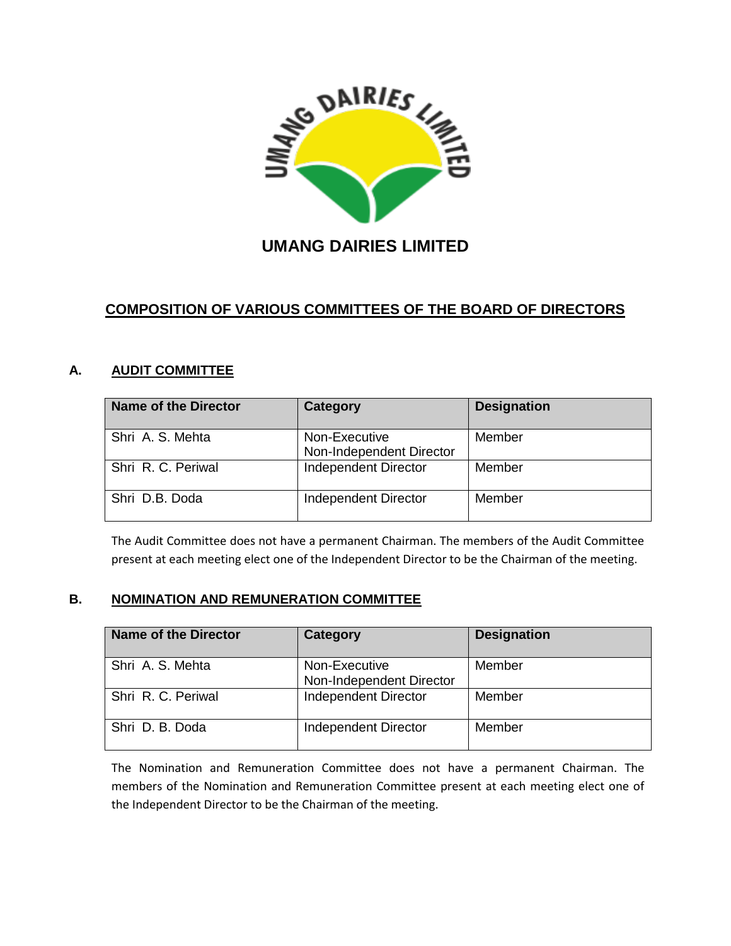

# **UMANG DAIRIES LIMITED**

## **COMPOSITION OF VARIOUS COMMITTEES OF THE BOARD OF DIRECTORS**

#### **A. AUDIT COMMITTEE**

| <b>Name of the Director</b> | Category                                  | <b>Designation</b> |
|-----------------------------|-------------------------------------------|--------------------|
| Shri A. S. Mehta            | Non-Executive<br>Non-Independent Director | Member             |
| Shri R. C. Periwal          | Independent Director                      | Member             |
| Shri D.B. Doda              | <b>Independent Director</b>               | Member             |

The Audit Committee does not have a permanent Chairman. The members of the Audit Committee present at each meeting elect one of the Independent Director to be the Chairman of the meeting.

#### **B. NOMINATION AND REMUNERATION COMMITTEE**

| <b>Name of the Director</b> | Category                                  | <b>Designation</b> |
|-----------------------------|-------------------------------------------|--------------------|
| Shri A. S. Mehta            | Non-Executive<br>Non-Independent Director | Member             |
| Shri R. C. Periwal          | Independent Director                      | Member             |
| Shri D. B. Doda             | Independent Director                      | Member             |

The Nomination and Remuneration Committee does not have a permanent Chairman. The members of the Nomination and Remuneration Committee present at each meeting elect one of the Independent Director to be the Chairman of the meeting.